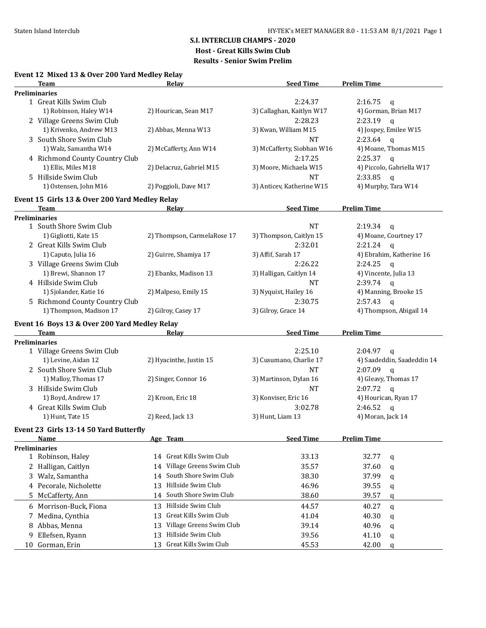## **S.I. INTERCLUB CHAMPS - 2020**

**Host - Great Kills Swim Club**

| Event 12 Mixed 13 & Over 200 Yard Medley Relay |  |  |  |  |  |  |  |
|------------------------------------------------|--|--|--|--|--|--|--|
|------------------------------------------------|--|--|--|--|--|--|--|

|    | Team                                           | <b>Relay</b>                   | <b>Seed Time</b>           | <b>Prelim Time</b>         |
|----|------------------------------------------------|--------------------------------|----------------------------|----------------------------|
|    | <b>Preliminaries</b>                           |                                |                            |                            |
|    | 1 Great Kills Swim Club                        |                                | 2:24.37                    | 2:16.75<br>q               |
|    | 1) Robinson, Haley W14                         | 2) Hourican, Sean M17          | 3) Callaghan, Kaitlyn W17  | 4) Gorman, Brian M17       |
|    | 2 Village Greens Swim Club                     |                                | 2:28.23                    | 2:23.19<br>$\mathsf{q}$    |
|    | 1) Krivenko, Andrew M13                        | 2) Abbas, Menna W13            | 3) Kwan, William M15       | 4) Jospey, Emilee W15      |
|    | 3 South Shore Swim Club                        |                                | <b>NT</b>                  | 2:23.64<br>$\mathbf q$     |
|    | 1) Walz, Samantha W14                          | 2) McCafferty, Ann W14         | 3) McCafferty, Siobhan W16 | 4) Moane, Thomas M15       |
|    | 4 Richmond County Country Club                 |                                | 2:17.25                    | 2:25.37<br>$\mathbf{q}$    |
|    | 1) Ellis, Miles M18                            | 2) Delacruz, Gabriel M15       | 3) Moore, Michaela W15     | 4) Piccolo, Gabriella W17  |
|    | 5 Hillside Swim Club                           |                                | <b>NT</b>                  | 2:33.85<br>$\mathbf q$     |
|    | 1) Ostensen, John M16                          | 2) Poggioli, Dave M17          | 3) Anticev, Katherine W15  | 4) Murphy, Tara W14        |
|    | Event 15 Girls 13 & Over 200 Yard Medley Relay |                                |                            |                            |
|    | Team                                           | Relay                          | <b>Seed Time</b>           | <b>Prelim Time</b>         |
|    | <b>Preliminaries</b>                           |                                |                            |                            |
|    | 1 South Shore Swim Club                        |                                | <b>NT</b>                  | 2:19.34<br>$\mathbf q$     |
|    | 1) Gigliotti, Kate 15                          | 2) Thompson, CarmelaRose 17    | 3) Thompson, Caitlyn 15    | 4) Moane, Courtney 17      |
|    | 2 Great Kills Swim Club                        |                                | 2:32.01                    | 2:21.24<br>$\mathsf{q}$    |
|    | 1) Caputo, Julia 16                            | 2) Guirre, Shamiya 17          | 3) Affif, Sarah 17         | 4) Ebrahim, Katherine 16   |
|    | 3 Village Greens Swim Club                     |                                | 2:26.22                    | 2:24.25<br>$\mathbf q$     |
|    | 1) Brewi, Shannon 17                           | 2) Ebanks, Madison 13          | 3) Halligan, Caitlyn 14    | 4) Vincente, Julia 13      |
|    | 4 Hillside Swim Club                           |                                | <b>NT</b>                  | 2:39.74<br>$\mathbf q$     |
|    | 1) Sjolander, Katie 16                         | 2) Malpeso, Emily 15           | 3) Nyquist, Hailey 16      | 4) Manning, Brooke 15      |
|    | 5 Richmond County Country Club                 |                                | 2:30.75                    | 2:57.43<br>$\mathbf{q}$    |
|    | 1) Thompson, Madison 17                        | 2) Gilroy, Casey 17            | 3) Gilroy, Grace 14        | 4) Thompson, Abigail 14    |
|    | Event 16 Boys 13 & Over 200 Yard Medley Relay  |                                |                            |                            |
|    | <b>Team</b>                                    | Relay                          | <b>Seed Time</b>           | <b>Prelim Time</b>         |
|    | <b>Preliminaries</b>                           |                                |                            |                            |
|    | 1 Village Greens Swim Club                     |                                | 2:25.10                    | 2:04.97<br>$\mathsf{q}$    |
|    | 1) Levine, Aidan 12                            | 2) Hyacinthe, Justin 15        | 3) Cusumano, Charlie 17    | 4) Saadeddin, Saadeddin 14 |
|    | 2 South Shore Swim Club                        |                                | <b>NT</b>                  | 2:07.09<br>$\mathsf{q}$    |
|    | 1) Malloy, Thomas 17                           | 2) Singer, Connor 16           | 3) Martinson, Dylan 16     | 4) Gleavy, Thomas 17       |
|    | 3 Hillside Swim Club                           |                                | <b>NT</b>                  | 2:07.72<br>$\mathbf q$     |
|    | 1) Boyd, Andrew 17                             | 2) Kroon, Eric 18              | 3) Konviser, Eric 16       | 4) Hourican, Ryan 17       |
|    | 4 Great Kills Swim Club                        |                                | 3:02.78                    | 2:46.52<br>$\mathsf{q}$    |
|    | 1) Hunt, Tate 15                               | 2) Reed, Jack 13               | 3) Hunt, Liam 13           | 4) Moran, Jack 14          |
|    | Event 23 Girls 13-14 50 Yard Butterfly         |                                |                            |                            |
|    | <u>Name</u>                                    | Age Team                       | <b>Seed Time</b>           | <b>Prelim Time</b>         |
|    | Preliminaries                                  | 14 Great Kills Swim Club       |                            |                            |
|    | 1 Robinson, Haley                              | Village Greens Swim Club       | 33.13                      | 32.77<br>q                 |
|    | 2 Halligan, Caitlyn                            | 14                             | 35.57                      | 37.60<br>q                 |
| 3  | Walz, Samantha                                 | South Shore Swim Club<br>14    | 38.30                      | 37.99<br>q                 |
|    | 4 Pecorale, Nicholette                         | Hillside Swim Club<br>13       | 46.96                      | 39.55<br>q                 |
| 5. | McCafferty, Ann                                | South Shore Swim Club<br>14    | 38.60                      | 39.57<br>q                 |
| 6  | Morrison-Buck, Fiona                           | 13 Hillside Swim Club          | 44.57                      | 40.27<br>q                 |
| 7. | Medina, Cynthia                                | Great Kills Swim Club<br>13    | 41.04                      | 40.30<br>q                 |
| 8  | Abbas, Menna                                   | Village Greens Swim Club<br>13 | 39.14                      | 40.96<br>q                 |
| 9  | Ellefsen, Ryann                                | Hillside Swim Club<br>13       | 39.56                      | 41.10<br>q                 |
| 10 | Gorman, Erin                                   | 13 Great Kills Swim Club       | 45.53                      | 42.00<br>q                 |
|    |                                                |                                |                            |                            |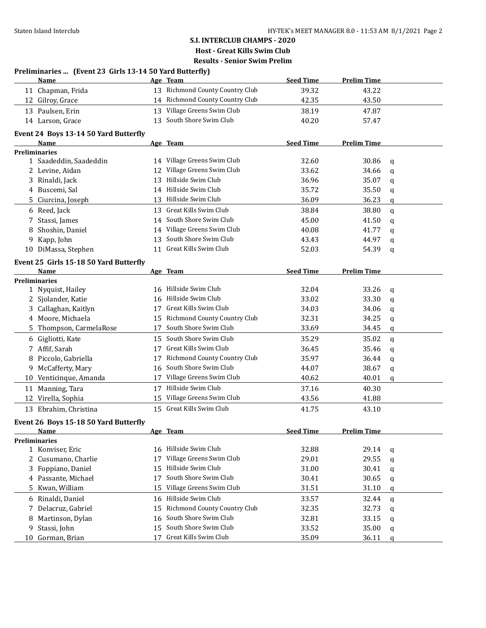**Preliminaries ... (Event 23 Girls 13-14 50 Yard Butterfly)**

### **S.I. INTERCLUB CHAMPS - 2020 Host - Great Kills Swim Club Results - Senior Swim Prelim**

|    | Name                                   |    | Age Team                        | <b>Seed Time</b> | <b>Prelim Time</b> |              |
|----|----------------------------------------|----|---------------------------------|------------------|--------------------|--------------|
|    | 11 Chapman, Frida                      |    | 13 Richmond County Country Club | 39.32            | 43.22              |              |
|    | 12 Gilroy, Grace                       |    | 14 Richmond County Country Club | 42.35            | 43.50              |              |
|    | 13 Paulsen, Erin                       |    | 13 Village Greens Swim Club     | 38.19            | 47.87              |              |
|    | 14 Larson, Grace                       | 13 | South Shore Swim Club           | 40.20            | 57.47              |              |
|    |                                        |    |                                 |                  |                    |              |
|    | Event 24 Boys 13-14 50 Yard Butterfly  |    |                                 |                  |                    |              |
|    | Name<br><b>Preliminaries</b>           |    | Age Team                        | <b>Seed Time</b> | <b>Prelim Time</b> |              |
|    | 1 Saadeddin, Saadeddin                 |    | 14 Village Greens Swim Club     | 32.60            | 30.86              | q            |
|    | 2 Levine, Aidan                        | 12 | Village Greens Swim Club        | 33.62            | 34.66              | q            |
| 3  | Rinaldi, Jack                          | 13 | Hillside Swim Club              | 36.96            | 35.07              | q            |
| 4  | Buscemi, Sal                           |    | 14 Hillside Swim Club           | 35.72            | 35.50              | q            |
|    | 5 Ciurcina, Joseph                     |    | 13 Hillside Swim Club           | 36.09            | 36.23              | q            |
|    |                                        | 13 | Great Kills Swim Club           | 38.84            |                    |              |
|    | 6 Reed, Jack                           |    | 14 South Shore Swim Club        |                  | 38.80              | q            |
| 7  | Stassi, James                          |    | 14 Village Greens Swim Club     | 45.00            | 41.50              | q            |
| 8  | Shoshin, Daniel                        |    | South Shore Swim Club           | 40.08            | 41.77              | q            |
| 9  | Kapp, John                             | 13 | Great Kills Swim Club           | 43.43            | 44.97              | q            |
|    | 10 DiMassa, Stephen                    | 11 |                                 | 52.03            | 54.39              | q            |
|    | Event 25 Girls 15-18 50 Yard Butterfly |    |                                 |                  |                    |              |
|    | Name                                   |    | Age Team                        | <b>Seed Time</b> | <b>Prelim Time</b> |              |
|    | <b>Preliminaries</b>                   |    |                                 |                  |                    |              |
|    | 1 Nyquist, Hailey                      | 16 | Hillside Swim Club              | 32.04            | 33.26              | q            |
|    | 2 Sjolander, Katie                     | 16 | Hillside Swim Club              | 33.02            | 33.30              | q            |
| 3  | Callaghan, Kaitlyn                     | 17 | Great Kills Swim Club           | 34.03            | 34.06              | q            |
| 4  | Moore, Michaela                        | 15 | Richmond County Country Club    | 32.31            | 34.25              | q            |
|    | 5 Thompson, CarmelaRose                | 17 | South Shore Swim Club           | 33.69            | 34.45              | q            |
|    | 6 Gigliotti, Kate                      | 15 | South Shore Swim Club           | 35.29            | 35.02              | $\mathbf{q}$ |
|    | 7 Affif, Sarah                         | 17 | Great Kills Swim Club           | 36.45            | 35.46              | q            |
| 8  | Piccolo, Gabriella                     | 17 | Richmond County Country Club    | 35.97            | 36.44              | q            |
| 9  | McCafferty, Mary                       | 16 | South Shore Swim Club           | 44.07            | 38.67              | q            |
|    | 10 Venticinque, Amanda                 | 17 | Village Greens Swim Club        | 40.62            | 40.01              | q            |
| 11 | Manning, Tara                          | 17 | Hillside Swim Club              | 37.16            | 40.30              |              |
|    | 12 Virella, Sophia                     | 15 | Village Greens Swim Club        | 43.56            | 41.88              |              |
|    | 13 Ebrahim, Christina                  | 15 | Great Kills Swim Club           | 41.75            | 43.10              |              |
|    |                                        |    |                                 |                  |                    |              |
|    | Event 26 Boys 15-18 50 Yard Butterfly  |    | Age Team                        | <b>Seed Time</b> | <b>Prelim Time</b> |              |
|    | <u>Name</u><br><b>Preliminaries</b>    |    |                                 |                  |                    |              |
| 1  | Konviser, Eric                         | 16 | Hillside Swim Club              | 32.88            | 29.14              | q            |
| 2  | Cusumano, Charlie                      | 17 | Village Greens Swim Club        | 29.01            | 29.55              | q            |
| 3  | Foppiano, Daniel                       | 15 | Hillside Swim Club              | 31.00            | 30.41              | q            |
| 4  | Passante, Michael                      | 17 | South Shore Swim Club           | 30.41            | 30.65              | q            |
| 5  | Kwan, William                          | 15 | Village Greens Swim Club        | 31.51            | 31.10              | q            |
|    |                                        |    | Hillside Swim Club              |                  |                    |              |
| 6  | Rinaldi, Daniel                        | 16 | Richmond County Country Club    | 33.57            | 32.44              | $\mathbf{q}$ |
| 7  | Delacruz, Gabriel                      | 15 | South Shore Swim Club           | 32.35            | 32.73              | q            |
| 8  | Martinson, Dylan                       | 16 | South Shore Swim Club           | 32.81            | 33.15              | q            |
| 9  | Stassi, John                           | 15 |                                 | 33.52            | 35.00              | q            |
| 10 | Gorman, Brian                          | 17 | Great Kills Swim Club           | 35.09            | 36.11              | q            |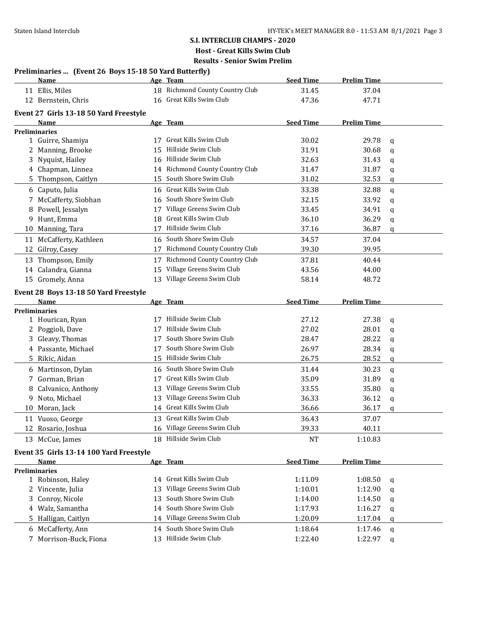# **S.I. INTERCLUB CHAMPS - 2020 Host - Great Kills Swim Club**

|    |                                                        |    | Host - Great Kills Swim Club                      |                    |                    |              |
|----|--------------------------------------------------------|----|---------------------------------------------------|--------------------|--------------------|--------------|
|    |                                                        |    | <b>Results - Senior Swim Prelim</b>               |                    |                    |              |
|    | Preliminaries  (Event 26 Boys 15-18 50 Yard Butterfly) |    |                                                   |                    |                    |              |
|    | Name                                                   |    | Age Team                                          | <b>Seed Time</b>   | <b>Prelim Time</b> |              |
|    | 11 Ellis, Miles                                        |    | 18 Richmond County Country Club                   | 31.45              | 37.04              |              |
|    | 12 Bernstein, Chris                                    |    | 16 Great Kills Swim Club                          | 47.36              | 47.71              |              |
|    | Event 27 Girls 13-18 50 Yard Freestyle                 |    |                                                   |                    |                    |              |
|    | Name                                                   |    | Age Team                                          | <b>Seed Time</b>   | <b>Prelim Time</b> |              |
|    | <b>Preliminaries</b>                                   |    |                                                   |                    |                    |              |
|    | 1 Guirre, Shamiya                                      | 17 | Great Kills Swim Club                             | 30.02              | 29.78              | q            |
|    | Manning, Brooke                                        | 15 | Hillside Swim Club                                | 31.91              | 30.68              | q            |
| 3  | Nyquist, Hailey                                        | 16 | Hillside Swim Club                                | 32.63              | 31.43              | q            |
|    | 4 Chapman, Linnea                                      |    | 14 Richmond County Country Club                   | 31.47              | 31.87              | q            |
| 5. | Thompson, Caitlyn                                      | 15 | South Shore Swim Club                             | 31.02              | 32.53              | q            |
|    | 6 Caputo, Julia                                        |    | 16 Great Kills Swim Club                          | 33.38              | 32.88              | q            |
| 7  | McCafferty, Siobhan                                    |    | 16 South Shore Swim Club                          | 32.15              | 33.92              | q            |
| 8  | Powell, Jessalyn                                       |    | 17 Village Greens Swim Club                       | 33.45              | 34.91              | q            |
| 9  | Hunt, Emma                                             | 18 | Great Kills Swim Club                             | 36.10              | 36.29              | q            |
| 10 | Manning, Tara                                          |    | 17 Hillside Swim Club                             | 37.16              | 36.87              | q            |
|    | 11 McCafferty, Kathleen                                |    | 16 South Shore Swim Club                          | 34.57              | 37.04              |              |
| 12 | Gilroy, Casey                                          |    | 17 Richmond County Country Club                   | 39.30              | 39.95              |              |
|    | 13 Thompson, Emily                                     |    | 17 Richmond County Country Club                   | 37.81              | 40.44              |              |
|    | 14 Calandra, Gianna                                    | 15 | Village Greens Swim Club                          | 43.56              | 44.00              |              |
|    | 15 Gromely, Anna                                       |    | 13 Village Greens Swim Club                       | 58.14              | 48.72              |              |
|    | Event 28 Boys 13-18 50 Yard Freestyle                  |    |                                                   |                    |                    |              |
|    | Name                                                   |    | Age Team                                          | <b>Seed Time</b>   | <b>Prelim Time</b> |              |
|    | <b>Preliminaries</b>                                   |    |                                                   |                    |                    |              |
|    | 1 Hourican, Ryan                                       | 17 | Hillside Swim Club                                | 27.12              | 27.38              | q            |
|    | 2 Poggioli, Dave                                       | 17 | Hillside Swim Club                                | 27.02              | 28.01              | q            |
|    | Gleavy, Thomas                                         | 17 | South Shore Swim Club                             | 28.47              | 28.22              | q            |
|    | 4 Passante, Michael                                    | 17 | South Shore Swim Club                             | 26.97              | 28.34              | q            |
| 5. | Rikic, Aidan                                           | 15 | Hillside Swim Club                                | 26.75              | 28.52              | q            |
|    | 6 Martinson, Dylan                                     |    |                                                   |                    |                    |              |
| 7  |                                                        |    | 16 South Shore Swim Club                          |                    |                    |              |
|    |                                                        | 17 | Great Kills Swim Club                             | 31.44              | 30.23              | q            |
|    | Gorman, Brian                                          | 13 |                                                   | 35.09              | 31.89              | q            |
|    | Calvanico, Anthony                                     |    | Village Greens Swim Club                          | 33.55              | 35.80              | q            |
|    | 9 Noto, Michael                                        |    | 13 Village Greens Swim Club                       | 36.33              | 36.12              | q            |
|    | 10 Moran, Jack                                         |    | 14 Great Kills Swim Club                          | 36.66              | 36.17              | $\mathsf{q}$ |
|    | 11 Vuoso, George                                       | 13 | Great Kills Swim Club                             | 36.43              | 37.07              |              |
|    | 12 Rosario, Joshua                                     | 16 | Village Greens Swim Club                          | 39.33              | 40.11              |              |
|    | 13 McCue, James                                        |    | 18 Hillside Swim Club                             | <b>NT</b>          | 1:10.83            |              |
|    | Event 35 Girls 13-14 100 Yard Freestyle                |    |                                                   |                    |                    |              |
|    | Name                                                   |    | Age Team                                          | <b>Seed Time</b>   | <b>Prelim Time</b> |              |
|    | <b>Preliminaries</b>                                   |    |                                                   |                    |                    |              |
|    | 1 Robinson, Haley                                      |    | 14 Great Kills Swim Club                          | 1:11.09            | 1:08.50            | q            |
|    | 2 Vincente, Julia                                      | 13 | Village Greens Swim Club                          | 1:10.01            | 1:12.90            | q            |
| 3. | Conroy, Nicole                                         | 13 | South Shore Swim Club                             | 1:14.00            | 1:14.50            | q            |
|    | 4 Walz, Samantha                                       |    | 14 South Shore Swim Club                          | 1:17.93            | 1:16.27            | q            |
|    | 5 Halligan, Caitlyn                                    |    | 14 Village Greens Swim Club                       | 1:20.09            | 1:17.04            | q            |
|    | 6 McCafferty, Ann<br>7 Morrison-Buck, Fiona            |    | 14 South Shore Swim Club<br>13 Hillside Swim Club | 1:18.64<br>1:22.40 | 1:17.46<br>1:22.97 | q<br>q       |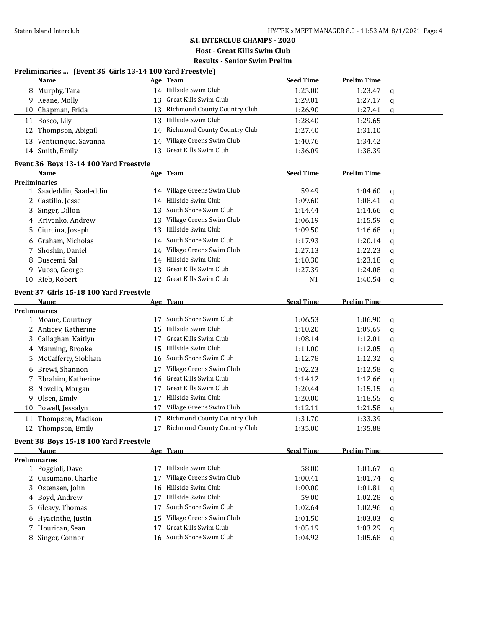# **S.I. INTERCLUB CHAMPS - 2020**

**Host - Great Kills Swim Club**

| Preliminaries  (Event 35 Girls 13-14 100 Yard Freestyle) |  |  |  |
|----------------------------------------------------------|--|--|--|
|----------------------------------------------------------|--|--|--|

|    | <b>Name</b>                                    |    | Age Team                        | <b>Seed Time</b> | <b>Prelim Time</b> |             |
|----|------------------------------------------------|----|---------------------------------|------------------|--------------------|-------------|
|    | 8 Murphy, Tara                                 |    | 14 Hillside Swim Club           | 1:25.00          | 1:23.47            | q           |
|    | 9 Keane, Molly                                 |    | 13 Great Kills Swim Club        | 1:29.01          | 1:27.17            | q           |
|    | 10 Chapman, Frida                              |    | 13 Richmond County Country Club | 1:26.90          | 1:27.41            | q           |
|    | 11 Bosco, Lily                                 |    | 13 Hillside Swim Club           | 1:28.40          | 1:29.65            |             |
| 12 | Thompson, Abigail                              |    | 14 Richmond County Country Club | 1:27.40          | 1:31.10            |             |
|    | 13 Venticinque, Savanna                        |    | 14 Village Greens Swim Club     | 1:40.76          | 1:34.42            |             |
|    | 14 Smith, Emily                                |    | 13 Great Kills Swim Club        | 1:36.09          | 1:38.39            |             |
|    |                                                |    |                                 |                  |                    |             |
|    | Event 36 Boys 13-14 100 Yard Freestyle<br>Name |    | Age Team                        | <b>Seed Time</b> | <b>Prelim Time</b> |             |
|    | <b>Preliminaries</b>                           |    |                                 |                  |                    |             |
|    | 1 Saadeddin, Saadeddin                         |    | 14 Village Greens Swim Club     | 59.49            | 1:04.60            | q           |
|    | 2 Castillo, Jesse                              |    | 14 Hillside Swim Club           | 1:09.60          | 1:08.41            | q           |
| 3  | Singer, Dillon                                 | 13 | South Shore Swim Club           | 1:14.44          | 1:14.66            | q           |
|    | 4 Krivenko, Andrew                             |    | 13 Village Greens Swim Club     | 1:06.19          | 1:15.59            | q           |
| 5. | Ciurcina, Joseph                               |    | 13 Hillside Swim Club           | 1:09.50          | 1:16.68            | q           |
|    | 6 Graham, Nicholas                             |    | 14 South Shore Swim Club        | 1:17.93          | 1:20.14            | q           |
| 7  | Shoshin, Daniel                                |    | 14 Village Greens Swim Club     | 1:27.13          | 1:22.23            | q           |
| 8  | Buscemi, Sal                                   |    | 14 Hillside Swim Club           | 1:10.30          | 1:23.18            | q           |
| 9  | Vuoso, George                                  | 13 | Great Kills Swim Club           | 1:27.39          | 1:24.08            | q           |
|    | 10 Rieb, Robert                                |    | 12 Great Kills Swim Club        | <b>NT</b>        | 1:40.54            | q           |
|    | Event 37 Girls 15-18 100 Yard Freestyle        |    |                                 |                  |                    |             |
|    | Name                                           |    | Age Team                        | <b>Seed Time</b> | <b>Prelim Time</b> |             |
|    | <b>Preliminaries</b>                           |    |                                 |                  |                    |             |
|    | 1 Moane, Courtney                              | 17 | South Shore Swim Club           | 1:06.53          | 1:06.90            | q           |
|    | 2 Anticev, Katherine                           | 15 | Hillside Swim Club              | 1:10.20          | 1:09.69            | q           |
| 3  | Callaghan, Kaitlyn                             | 17 | Great Kills Swim Club           | 1:08.14          | 1:12.01            | q           |
|    | 4 Manning, Brooke                              | 15 | Hillside Swim Club              | 1:11.00          | 1:12.05            | q           |
|    | 5 McCafferty, Siobhan                          | 16 | South Shore Swim Club           | 1:12.78          | 1:12.32            | q           |
|    | 6 Brewi, Shannon                               | 17 | Village Greens Swim Club        | 1:02.23          | 1:12.58            | q           |
| 7  | Ebrahim, Katherine                             | 16 | Great Kills Swim Club           | 1:14.12          | 1:12.66            | q           |
| 8  | Novello, Morgan                                | 17 | Great Kills Swim Club           | 1:20.44          | 1:15.15            | q           |
| 9  | Olsen, Emily                                   |    | 17 Hillside Swim Club           | 1:20.00          | 1:18.55            | q           |
|    | 10 Powell, Jessalyn                            | 17 | Village Greens Swim Club        | 1:12.11          | 1:21.58            | q           |
|    | 11 Thompson, Madison                           |    | 17 Richmond County Country Club | 1:31.70          | 1:33.39            |             |
|    | 12 Thompson, Emily                             |    | 17 Richmond County Country Club | 1:35.00          | 1:35.88            |             |
|    | Event 38 Boys 15-18 100 Yard Freestyle         |    |                                 |                  |                    |             |
|    | Name                                           |    | Age Team                        | <b>Seed Time</b> | <b>Prelim Time</b> |             |
|    | <b>Preliminaries</b>                           |    |                                 |                  |                    |             |
|    | 1 Poggioli, Dave                               |    | 17 Hillside Swim Club           | 58.00            | 1:01.67            | q           |
|    | 2 Cusumano, Charlie                            | 17 | Village Greens Swim Club        | 1:00.41          | 1:01.74            | q           |
|    | 3 Ostensen, John                               | 16 | Hillside Swim Club              | 1:00.00          | 1:01.81            | q           |
| 4  | Boyd, Andrew                                   | 17 | Hillside Swim Club              | 59.00            | 1:02.28            | q           |
|    | 5 Gleavy, Thomas                               | 17 | South Shore Swim Club           | 1:02.64          | 1:02.96            | q           |
|    | 6 Hyacinthe, Justin                            | 15 | Village Greens Swim Club        | 1:01.50          | 1:03.03            | $\mathbf q$ |
|    | 7 Hourican, Sean                               | 17 | Great Kills Swim Club           | 1:05.19          | 1:03.29            | q           |
|    | 8 Singer, Connor                               |    | 16 South Shore Swim Club        | 1:04.92          | 1:05.68            | q           |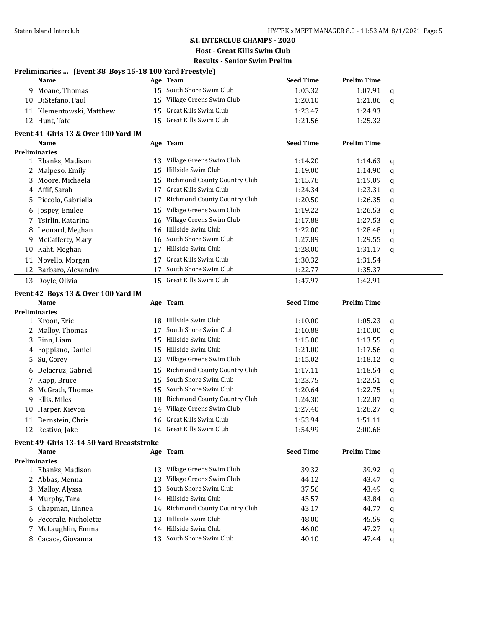### **S.I. INTERCLUB CHAMPS - 2020 Host - Great Kills Swim Club**

|    | Preliminaries  (Event 38 Boys 15-18 100 Yard Freestyle) |    |                                 |                  |                    |              |
|----|---------------------------------------------------------|----|---------------------------------|------------------|--------------------|--------------|
|    | Name                                                    |    | Age Team                        | <b>Seed Time</b> | <b>Prelim Time</b> |              |
|    | 9 Moane, Thomas                                         |    | 15 South Shore Swim Club        | 1:05.32          | 1:07.91            | q            |
|    | 10 DiStefano, Paul                                      |    | 15 Village Greens Swim Club     | 1:20.10          | 1:21.86            | q            |
|    | 11 Klementowski, Matthew                                |    | 15 Great Kills Swim Club        | 1:23.47          | 1:24.93            |              |
|    | 12 Hunt, Tate                                           |    | 15 Great Kills Swim Club        | 1:21.56          | 1:25.32            |              |
|    | Event 41 Girls 13 & Over 100 Yard IM                    |    |                                 |                  |                    |              |
|    | Name                                                    |    | Age Team                        | <b>Seed Time</b> | <b>Prelim Time</b> |              |
|    | <b>Preliminaries</b>                                    |    |                                 |                  |                    |              |
|    | 1 Ebanks, Madison                                       |    | 13 Village Greens Swim Club     | 1:14.20          | 1:14.63            | q            |
|    | 2 Malpeso, Emily                                        | 15 | Hillside Swim Club              | 1:19.00          | 1:14.90            | a            |
| 3  | Moore, Michaela                                         | 15 | Richmond County Country Club    | 1:15.78          | 1:19.09            | q            |
|    | 4 Affif, Sarah                                          | 17 | Great Kills Swim Club           | 1:24.34          | 1:23.31            | q            |
|    | 5 Piccolo, Gabriella                                    | 17 | Richmond County Country Club    | 1:20.50          | 1:26.35            | q            |
|    | 6 Jospey, Emilee                                        |    | 15 Village Greens Swim Club     | 1:19.22          | 1:26.53            | $\mathsf{q}$ |
|    | 7 Tsirlin, Katarina                                     | 16 | Village Greens Swim Club        | 1:17.88          | 1:27.53            | $\mathbf q$  |
| 8  | Leonard, Meghan                                         | 16 | Hillside Swim Club              | 1:22.00          | 1:28.48            | q            |
|    | 9 McCafferty, Mary                                      | 16 | South Shore Swim Club           | 1:27.89          | 1:29.55            | q            |
|    | 10 Kaht, Meghan                                         | 17 | Hillside Swim Club              | 1:28.00          | 1:31.17            | q            |
|    | 11 Novello, Morgan                                      |    | 17 Great Kills Swim Club        | 1:30.32          | 1:31.54            |              |
|    | 12 Barbaro, Alexandra                                   | 17 | South Shore Swim Club           | 1:22.77          | 1:35.37            |              |
|    | 13 Doyle, Olivia                                        |    | 15 Great Kills Swim Club        | 1:47.97          | 1:42.91            |              |
|    |                                                         |    |                                 |                  |                    |              |
|    | Event 42 Boys 13 & Over 100 Yard IM                     |    |                                 |                  |                    |              |
|    | Name                                                    |    | Age Team                        | <b>Seed Time</b> | <b>Prelim Time</b> |              |
|    | <b>Preliminaries</b>                                    |    | 18 Hillside Swim Club           |                  |                    |              |
|    | 1 Kroon, Eric                                           |    | South Shore Swim Club           | 1:10.00          | 1:05.23            | $\mathbf q$  |
|    | 2 Malloy, Thomas                                        | 17 | 15 Hillside Swim Club           | 1:10.88          | 1:10.00            | $\mathbf q$  |
|    | 3 Finn, Liam                                            |    | 15 Hillside Swim Club           | 1:15.00          | 1:13.55            | q            |
|    | 4 Foppiano, Daniel                                      |    |                                 | 1:21.00          | 1:17.56            | q            |
|    | 5 Su, Corey                                             |    | 13 Village Greens Swim Club     | 1:15.02          | 1:18.12            | q            |
|    | 6 Delacruz, Gabriel                                     |    | 15 Richmond County Country Club | 1:17.11          | 1:18.54            | q            |
| 7  | Kapp, Bruce                                             | 15 | South Shore Swim Club           | 1:23.75          | 1:22.51            | q            |
| 8  | McGrath, Thomas                                         | 15 | South Shore Swim Club           | 1:20.64          | 1:22.75            | q            |
|    | 9 Ellis, Miles                                          | 18 | Richmond County Country Club    | 1:24.30          | 1:22.87            | q            |
|    | 10 Harper, Kievon                                       |    | 14 Village Greens Swim Club     | 1:27.40          | 1:28.27            | q            |
|    | 11 Bernstein, Chris                                     |    | 16 Great Kills Swim Club        | 1:53.94          | 1:51.11            |              |
|    | 12 Restivo, Jake                                        |    | 14 Great Kills Swim Club        | 1:54.99          | 2:00.68            |              |
|    | Event 49 Girls 13-14 50 Yard Breaststroke               |    |                                 |                  |                    |              |
|    | Name                                                    |    | Age Team                        | <b>Seed Time</b> | <b>Prelim Time</b> |              |
|    | <b>Preliminaries</b>                                    |    |                                 |                  |                    |              |
|    | 1 Ebanks, Madison                                       |    | 13 Village Greens Swim Club     | 39.32            | 39.92              | q            |
|    | 2 Abbas, Menna                                          | 13 | Village Greens Swim Club        | 44.12            | 43.47              | q            |
|    | 3 Malloy, Alyssa                                        | 13 | South Shore Swim Club           | 37.56            | 43.49              | q            |
|    | 4 Murphy, Tara                                          | 14 | Hillside Swim Club              | 45.57            | 43.84              | q            |
| 5. | Chapman, Linnea                                         |    | 14 Richmond County Country Club | 43.17            | 44.77              | q            |
|    | 6 Pecorale, Nicholette                                  |    | 13 Hillside Swim Club           | 48.00            | 45.59              | q            |
|    | 7 McLaughlin, Emma                                      |    | 14 Hillside Swim Club           | 46.00            | 47.27              | q            |
|    | 8 Cacace, Giovanna                                      |    | 13 South Shore Swim Club        | 40.10            | 47.44              | q            |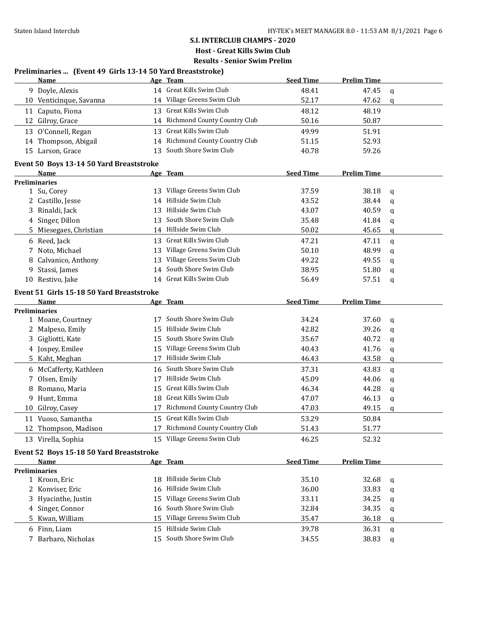# **S.I. INTERCLUB CHAMPS - 2020**

**Host - Great Kills Swim Club**

**Results - Senior Swim Prelim**

# **Preliminaries ... (Event 49 Girls 13-14 50 Yard Breaststroke)**

|    | <b>Name</b>                               |    | Age Team                            | <b>Seed Time</b> | <b>Prelim Time</b> |             |
|----|-------------------------------------------|----|-------------------------------------|------------------|--------------------|-------------|
|    | 9 Doyle, Alexis                           |    | 14 Great Kills Swim Club            | 48.41            | 47.45              | q           |
|    | 10 Venticinque, Savanna                   |    | 14 Village Greens Swim Club         | 52.17            | 47.62              | $\mathbf q$ |
|    | 11 Caputo, Fiona                          |    | 13 Great Kills Swim Club            | 48.12            | 48.19              |             |
|    | 12 Gilroy, Grace                          | 14 | <b>Richmond County Country Club</b> | 50.16            | 50.87              |             |
|    | 13 O'Connell, Regan                       | 13 | Great Kills Swim Club               | 49.99            | 51.91              |             |
|    | 14 Thompson, Abigail                      |    | 14 Richmond County Country Club     | 51.15            | 52.93              |             |
|    | 15 Larson, Grace                          | 13 | South Shore Swim Club               | 40.78            | 59.26              |             |
|    | Event 50 Boys 13-14 50 Yard Breaststroke  |    |                                     |                  |                    |             |
|    | Name                                      |    | Age Team                            | <b>Seed Time</b> | <b>Prelim Time</b> |             |
|    | <b>Preliminaries</b>                      |    |                                     |                  |                    |             |
|    | 1 Su, Corey                               | 13 | Village Greens Swim Club            | 37.59            | 38.18              | q           |
|    | 2 Castillo, Jesse                         | 14 | Hillside Swim Club                  | 43.52            | 38.44              | q           |
|    | 3 Rinaldi, Jack                           | 13 | Hillside Swim Club                  | 43.07            | 40.59              | q           |
|    | 4 Singer, Dillon                          | 13 | South Shore Swim Club               | 35.48            | 41.84              | q           |
| 5. | Miesegaes, Christian                      |    | 14 Hillside Swim Club               | 50.02            | 45.65              | q           |
|    | 6 Reed, Jack                              |    | 13 Great Kills Swim Club            | 47.21            | 47.11              | q           |
| 7  | Noto, Michael                             | 13 | Village Greens Swim Club            | 50.10            | 48.99              | q           |
| 8  | Calvanico, Anthony                        | 13 | Village Greens Swim Club            | 49.22            | 49.55              | q           |
| 9. | Stassi, James                             | 14 | South Shore Swim Club               | 38.95            | 51.80              | q           |
|    | 10 Restivo, Jake                          | 14 | Great Kills Swim Club               | 56.49            | 57.51              | q           |
|    | Event 51 Girls 15-18 50 Yard Breaststroke |    |                                     |                  |                    |             |
|    | Name                                      |    | Age Team                            | <b>Seed Time</b> | <b>Prelim Time</b> |             |
|    | Preliminaries                             |    |                                     |                  |                    |             |
|    | 1 Moane, Courtney                         | 17 | South Shore Swim Club               | 34.24            | 37.60              | q           |
|    | 2 Malpeso, Emily                          | 15 | Hillside Swim Club                  | 42.82            | 39.26              | q           |
|    | 3 Gigliotti, Kate                         | 15 | South Shore Swim Club               | 35.67            | 40.72              | q           |
|    | 4 Jospey, Emilee                          |    | 15 Village Greens Swim Club         | 40.43            | 41.76              | q           |
| 5. | Kaht, Meghan                              | 17 | Hillside Swim Club                  | 46.43            | 43.58              | q           |
|    | 6 McCafferty, Kathleen                    | 16 | South Shore Swim Club               | 37.31            | 43.83              | q           |
| 7  | Olsen, Emily                              |    | 17 Hillside Swim Club               | 45.09            | 44.06              | q           |
| 8  | Romano, Maria                             | 15 | Great Kills Swim Club               | 46.34            | 44.28              | q           |
| 9. | Hunt, Emma                                | 18 | Great Kills Swim Club               | 47.07            | 46.13              | q           |
| 10 | Gilroy, Casey                             | 17 | Richmond County Country Club        | 47.03            | 49.15              | q           |
|    | 11 Vuoso, Samantha                        |    | 15 Great Kills Swim Club            | 53.29            | 50.84              |             |
|    | 12 Thompson, Madison                      |    | 17 Richmond County Country Club     | 51.43            | 51.77              |             |
|    | 13 Virella, Sophia                        |    | 15 Village Greens Swim Club         | 46.25            | 52.32              |             |
|    | Event 52 Boys 15-18 50 Yard Breaststroke  |    |                                     |                  |                    |             |
|    | Name                                      |    | Age Team                            | <b>Seed Time</b> | <b>Prelim Time</b> |             |
|    | <b>Preliminaries</b>                      |    |                                     |                  |                    |             |
|    | 1 Kroon, Eric                             | 18 | Hillside Swim Club                  | 35.10            | 32.68              | q           |
| 2  | Konviser, Eric                            | 16 | Hillside Swim Club                  | 36.00            | 33.83              | q           |
| 3  | Hyacinthe, Justin                         | 15 | Village Greens Swim Club            | 33.11            | 34.25              | q           |
| 4  | Singer, Connor                            | 16 | South Shore Swim Club               | 32.84            | 34.35              | q           |
| 5  | Kwan, William                             | 15 | Village Greens Swim Club            | 35.47            | 36.18              | q           |
| 6  | Finn, Liam                                |    | 15 Hillside Swim Club               | 39.78            | 36.31              | q           |
| 7  | Barbaro, Nicholas                         | 15 | South Shore Swim Club               | 34.55            | 38.83              | q           |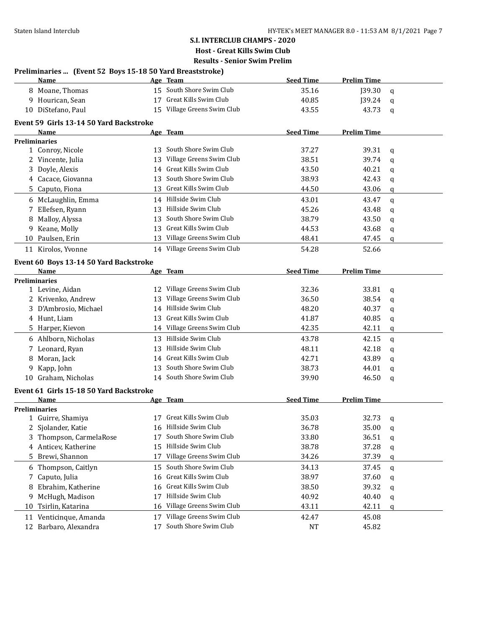### **S.I. INTERCLUB CHAMPS - 2020 Host - Great Kills Swim Club**

|    | Preliminaries  (Event 52 Boys 15-18 50 Yard Breaststroke) |    |                             |                  |                    |             |
|----|-----------------------------------------------------------|----|-----------------------------|------------------|--------------------|-------------|
|    | Name                                                      |    | Age Team                    | <b>Seed Time</b> | <b>Prelim Time</b> |             |
|    | 8 Moane, Thomas                                           |    | 15 South Shore Swim Club    | 35.16            | J39.30             | q           |
|    | 9 Hourican, Sean                                          |    | 17 Great Kills Swim Club    | 40.85            | J39.24             | q           |
|    | 10 DiStefano, Paul                                        |    | 15 Village Greens Swim Club | 43.55            | 43.73              | $\mathbf q$ |
|    | Event 59 Girls 13-14 50 Yard Backstroke                   |    |                             |                  |                    |             |
|    | Name<br><b>Preliminaries</b>                              |    | Age Team                    | <b>Seed Time</b> | <b>Prelim Time</b> |             |
|    | 1 Conroy, Nicole                                          |    | 13 South Shore Swim Club    | 37.27            | 39.31              | q           |
|    | 2 Vincente, Julia                                         | 13 | Village Greens Swim Club    | 38.51            | 39.74              | q           |
| 3  | Doyle, Alexis                                             | 14 | Great Kills Swim Club       | 43.50            | 40.21              |             |
|    | 4 Cacace, Giovanna                                        | 13 | South Shore Swim Club       | 38.93            | 42.43              | q           |
| 5  | Caputo, Fiona                                             |    | 13 Great Kills Swim Club    | 44.50            | 43.06              | q           |
|    |                                                           |    |                             |                  |                    | q           |
|    | 6 McLaughlin, Emma                                        |    | 14 Hillside Swim Club       | 43.01            | 43.47              | $\mathbf q$ |
|    | 7 Ellefsen, Ryann                                         |    | 13 Hillside Swim Club       | 45.26            | 43.48              | q           |
| 8  | Malloy, Alyssa                                            |    | 13 South Shore Swim Club    | 38.79            | 43.50              | q           |
| 9  | Keane, Molly                                              | 13 | Great Kills Swim Club       | 44.53            | 43.68              | q           |
| 10 | Paulsen, Erin                                             |    | 13 Village Greens Swim Club | 48.41            | 47.45              | q           |
|    | 11 Kirolos, Yvonne                                        |    | 14 Village Greens Swim Club | 54.28            | 52.66              |             |
|    | Event 60 Boys 13-14 50 Yard Backstroke                    |    |                             |                  |                    |             |
|    | Name                                                      |    | Age Team                    | <b>Seed Time</b> | <b>Prelim Time</b> |             |
|    | <b>Preliminaries</b>                                      |    |                             |                  |                    |             |
|    | 1 Levine, Aidan                                           |    | 12 Village Greens Swim Club | 32.36            | 33.81              | q           |
|    | 2 Krivenko, Andrew                                        | 13 | Village Greens Swim Club    | 36.50            | 38.54              | q           |
|    | 3 D'Ambrosio, Michael                                     | 14 | Hillside Swim Club          | 48.20            | 40.37              | q           |
|    | 4 Hunt, Liam                                              | 13 | Great Kills Swim Club       | 41.87            | 40.85              | q           |
|    | 5 Harper, Kievon                                          |    | 14 Village Greens Swim Club | 42.35            | 42.11              | q           |
|    | 6 Ahlborn, Nicholas                                       |    | 13 Hillside Swim Club       | 43.78            | 42.15              | q           |
| 7  | Leonard, Ryan                                             |    | 13 Hillside Swim Club       | 48.11            | 42.18              | q           |
| 8  | Moran, Jack                                               | 14 | Great Kills Swim Club       | 42.71            | 43.89              | q           |
| 9  | Kapp, John                                                | 13 | South Shore Swim Club       | 38.73            | 44.01              | q           |
|    | 10 Graham, Nicholas                                       |    | 14 South Shore Swim Club    | 39.90            | 46.50              | $\mathbf q$ |
|    | Event 61 Girls 15-18 50 Yard Backstroke                   |    |                             |                  |                    |             |
|    | Name                                                      |    | Age Team                    | <b>Seed Time</b> | <b>Prelim Time</b> |             |
|    | <b>Preliminaries</b>                                      |    |                             |                  |                    |             |
|    | 1 Guirre, Shamiya                                         |    | 17 Great Kills Swim Club    | 35.03            | 32.73              | q           |
|    | 2 Sjolander, Katie                                        | 16 | Hillside Swim Club          | 36.78            | 35.00              | q           |
| 3  | Thompson, CarmelaRose                                     | 17 | South Shore Swim Club       | 33.80            | 36.51              | q           |
|    | 4 Anticev, Katherine                                      | 15 | Hillside Swim Club          | 38.78            | 37.28              | q           |
| 5. | Brewi, Shannon                                            | 17 | Village Greens Swim Club    | 34.26            | 37.39              | q           |
| 6  | Thompson, Caitlyn                                         | 15 | South Shore Swim Club       | 34.13            | 37.45              | q           |
| 7  | Caputo, Julia                                             | 16 | Great Kills Swim Club       | 38.97            | 37.60              | q           |
| 8  | Ebrahim, Katherine                                        | 16 | Great Kills Swim Club       | 38.50            | 39.32              | q           |
| 9  | McHugh, Madison                                           | 17 | Hillside Swim Club          | 40.92            | 40.40              | q           |
| 10 | Tsirlin, Katarina                                         | 16 | Village Greens Swim Club    | 43.11            | 42.11              |             |
|    |                                                           |    | Village Greens Swim Club    |                  |                    | q           |
| 11 | Venticinque, Amanda                                       | 17 |                             | 42.47            | 45.08              |             |
|    | 12 Barbaro, Alexandra                                     | 17 | South Shore Swim Club       | <b>NT</b>        | 45.82              |             |